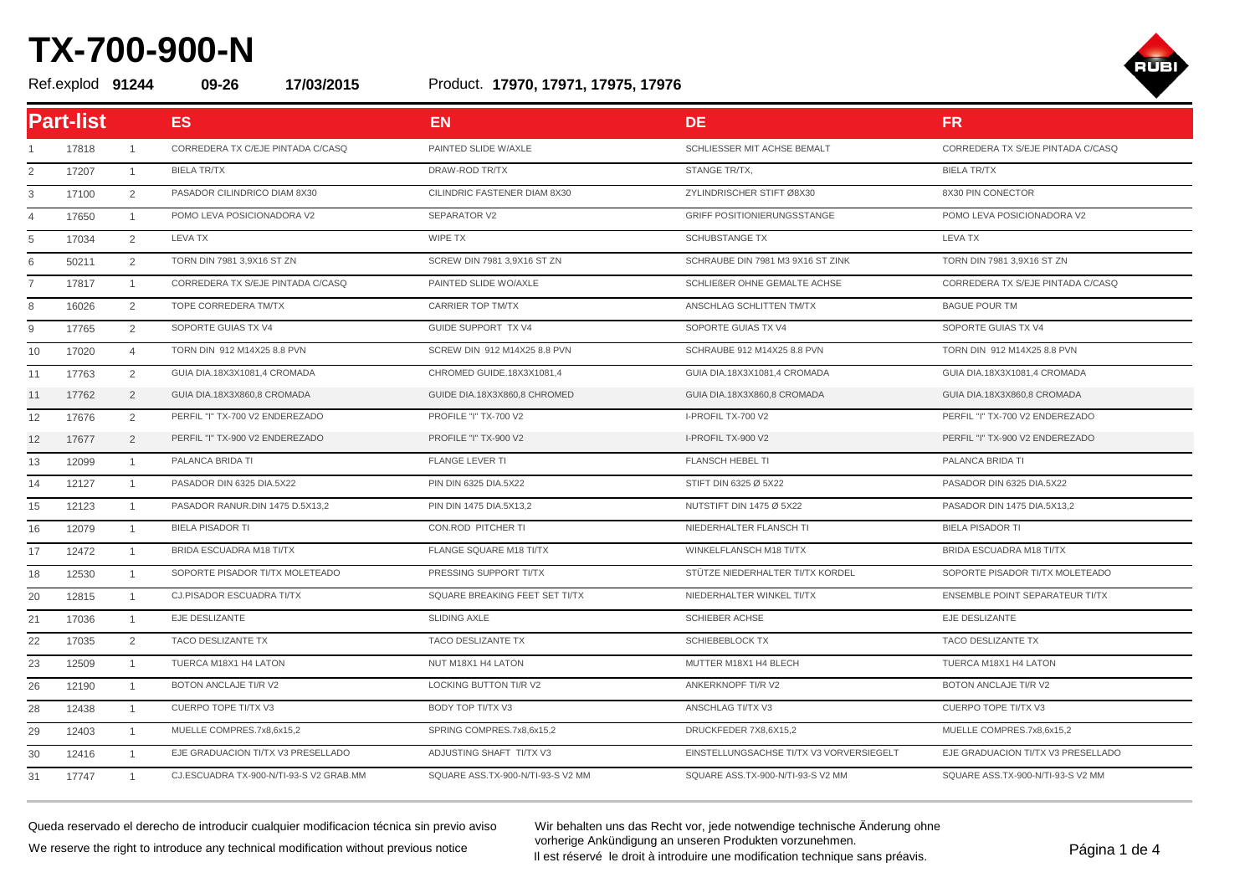#### Product. Ref.explod **91244 09-26 17/03/2015 17970, 17971, 17975, 17976**



| <b>Part-list</b> |       |                | ES.                                     | <b>EN</b>                         | DE.                                      | <b>FR</b>                          |
|------------------|-------|----------------|-----------------------------------------|-----------------------------------|------------------------------------------|------------------------------------|
|                  | 17818 | $\mathbf{1}$   | CORREDERA TX C/EJE PINTADA C/CASQ       | PAINTED SLIDE W/AXLE              | SCHLIESSER MIT ACHSE BEMALT              | CORREDERA TX S/EJE PINTADA C/CASQ  |
| 2                | 17207 | $\mathbf{1}$   | <b>BIELA TR/TX</b>                      | DRAW-ROD TR/TX                    | STANGE TR/TX,                            | <b>BIELA TR/TX</b>                 |
| 3                | 17100 | $\overline{2}$ | PASADOR CILINDRICO DIAM 8X30            | CILINDRIC FASTENER DIAM 8X30      | ZYLINDRISCHER STIFT Ø8X30                | 8X30 PIN CONECTOR                  |
| $\overline{4}$   | 17650 | $\overline{1}$ | POMO LEVA POSICIONADORA V2              | <b>SEPARATOR V2</b>               | <b>GRIFF POSITIONIERUNGSSTANGE</b>       | POMO LEVA POSICIONADORA V2         |
| 5                | 17034 | $\overline{2}$ | <b>LEVA TX</b>                          | WIPE TX                           | <b>SCHUBSTANGE TX</b>                    | <b>LEVA TX</b>                     |
| 6                | 50211 | $\overline{2}$ | TORN DIN 7981 3,9X16 ST ZN              | SCREW DIN 7981 3,9X16 ST ZN       | SCHRAUBE DIN 7981 M3 9X16 ST ZINK        | TORN DIN 7981 3,9X16 ST ZN         |
| $\overline{7}$   | 17817 | $\mathbf{1}$   | CORREDERA TX S/EJE PINTADA C/CASQ       | PAINTED SLIDE WO/AXLE             | SCHLIEßER OHNE GEMALTE ACHSE             | CORREDERA TX S/EJE PINTADA C/CASQ  |
| 8                | 16026 | 2              | TOPE CORREDERA TM/TX                    | <b>CARRIER TOP TM/TX</b>          | ANSCHLAG SCHLITTEN TM/TX                 | <b>BAGUE POUR TM</b>               |
| 9                | 17765 | $\overline{2}$ | SOPORTE GUIAS TX V4                     | <b>GUIDE SUPPORT TX V4</b>        | SOPORTE GUIAS TX V4                      | SOPORTE GUIAS TX V4                |
| 10               | 17020 | $\overline{4}$ | TORN DIN 912 M14X25 8.8 PVN             | SCREW DIN 912 M14X25 8.8 PVN      | SCHRAUBE 912 M14X25 8.8 PVN              | TORN DIN 912 M14X25 8.8 PVN        |
| 11               | 17763 | $\overline{2}$ | GUIA DIA.18X3X1081,4 CROMADA            | CHROMED GUIDE.18X3X1081,4         | GUIA DIA.18X3X1081,4 CROMADA             | GUIA DIA.18X3X1081,4 CROMADA       |
| 11               | 17762 | $\overline{2}$ | GUIA DIA.18X3X860,8 CROMADA             | GUIDE DIA.18X3X860,8 CHROMED      | GUIA DIA.18X3X860,8 CROMADA              | GUIA DIA.18X3X860,8 CROMADA        |
| 12               | 17676 | $\overline{2}$ | PERFIL "I" TX-700 V2 ENDEREZADO         | PROFILE "I" TX-700 V2             | I-PROFIL TX-700 V2                       | PERFIL "I" TX-700 V2 ENDEREZADO    |
| 12               | 17677 | $\overline{2}$ | PERFIL "I" TX-900 V2 ENDEREZADO         | <b>PROFILE "I" TX-900 V2</b>      | I-PROFIL TX-900 V2                       | PERFIL "I" TX-900 V2 ENDEREZADO    |
| 13               | 12099 | $\overline{1}$ | PALANCA BRIDA TI                        | <b>FLANGE LEVER TI</b>            | <b>FLANSCH HEBEL TI</b>                  | PALANCA BRIDA TI                   |
| 14               | 12127 | $\overline{1}$ | PASADOR DIN 6325 DIA.5X22               | PIN DIN 6325 DIA.5X22             | STIFT DIN 6325 Ø 5X22                    | PASADOR DIN 6325 DIA.5X22          |
| 15               | 12123 | $\mathbf{1}$   | PASADOR RANUR.DIN 1475 D.5X13,2         | PIN DIN 1475 DIA.5X13,2           | NUTSTIFT DIN 1475 Ø 5X22                 | PASADOR DIN 1475 DIA.5X13,2        |
| 16               | 12079 | $\mathbf{1}$   | <b>BIELA PISADOR TI</b>                 | CON.ROD PITCHER TI                | NIEDERHALTER FLANSCH TI                  | <b>BIELA PISADOR TI</b>            |
| 17               | 12472 | $\overline{1}$ | BRIDA ESCUADRA M18 TI/TX                | FLANGE SQUARE M18 TI/TX           | WINKELFLANSCH M18 TI/TX                  | BRIDA ESCUADRA M18 TI/TX           |
| 18               | 12530 | $\mathbf{1}$   | SOPORTE PISADOR TI/TX MOLETEADO         | PRESSING SUPPORT TI/TX            | STÜTZE NIEDERHALTER TI/TX KORDEL         | SOPORTE PISADOR TI/TX MOLETEADO    |
| 20               | 12815 | $\mathbf{1}$   | CJ.PISADOR ESCUADRA TI/TX               | SQUARE BREAKING FEET SET TI/TX    | NIEDERHALTER WINKEL TI/TX                | ENSEMBLE POINT SEPARATEUR TI/TX    |
| 21               | 17036 | $\overline{1}$ | EJE DESLIZANTE                          | <b>SLIDING AXLE</b>               | <b>SCHIEBER ACHSE</b>                    | EJE DESLIZANTE                     |
| 22               | 17035 | 2              | TACO DESLIZANTE TX                      | TACO DESLIZANTE TX                | SCHIEBEBLOCK TX                          | TACO DESLIZANTE TX                 |
| 23               | 12509 | $\mathbf{1}$   | TUERCA M18X1 H4 LATON                   | NUT M18X1 H4 LATON                | MUTTER M18X1 H4 BLECH                    | TUERCA M18X1 H4 LATON              |
| 26               | 12190 | $\overline{1}$ | BOTON ANCLAJE TI/R V2                   | <b>LOCKING BUTTON TI/R V2</b>     | ANKERKNOPF TI/R V2                       | BOTON ANCLAJE TI/R V2              |
| 28               | 12438 | $\overline{1}$ | <b>CUERPO TOPE TI/TX V3</b>             | BODY TOP TI/TX V3                 | ANSCHLAG TI/TX V3                        | CUERPO TOPE TI/TX V3               |
| 29               | 12403 | $\mathbf{1}$   | MUELLE COMPRES.7x8,6x15,2               | SPRING COMPRES.7x8,6x15,2         | DRUCKFEDER 7X8,6X15,2                    | MUELLE COMPRES.7x8,6x15,2          |
| 30               | 12416 | $\mathbf{1}$   | EJE GRADUACION TI/TX V3 PRESELLADO      | ADJUSTING SHAFT TI/TX V3          | EINSTELLUNGSACHSE TI/TX V3 VORVERSIEGELT | EJE GRADUACION TI/TX V3 PRESELLADO |
| 31               | 17747 | $\overline{1}$ | CJ.ESCUADRA TX-900-N/TI-93-S V2 GRAB.MM | SQUARE ASS.TX-900-N/TI-93-S V2 MM | SQUARE ASS.TX-900-N/TI-93-S V2 MM        | SOUARE ASS.TX-900-N/TI-93-S V2 MM  |

Queda reservado el derecho de introducir cualquier modificacion técnica sin previo aviso We reserve the right to introduce any technical modification without previous notice

Wir behalten uns das Recht vor, jede notwendige technische Änderung ohne vorherige Ankündigung an unseren Produkten vorzunehmen. vornenge Ankunaigung an unseren Produkten vorzunenmen.<br>Il est réservé le droit à introduire une modification technique sans préavis.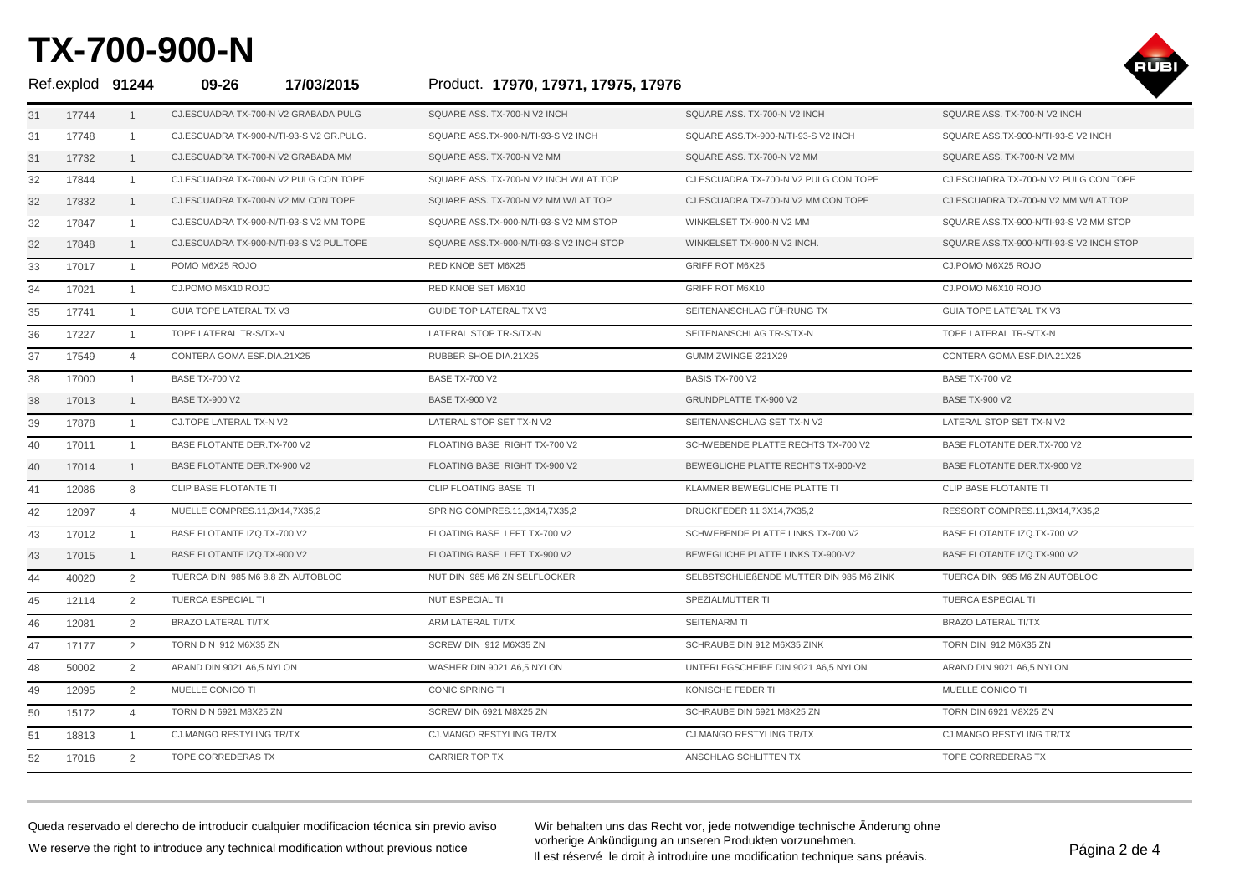

| Ref.explod 91244 |       |                | 17/03/2015<br>09-26                      | Product. 17970, 17971, 17975, 17976      |                                          |                                          |
|------------------|-------|----------------|------------------------------------------|------------------------------------------|------------------------------------------|------------------------------------------|
| 31               | 17744 | $\mathbf{1}$   | CJ.ESCUADRA TX-700-N V2 GRABADA PULG     | SQUARE ASS, TX-700-N V2 INCH             | SQUARE ASS, TX-700-N V2 INCH             | SQUARE ASS, TX-700-N V2 INCH             |
| 31               | 17748 | $\mathbf{1}$   | CJ.ESCUADRA TX-900-N/TI-93-S V2 GR.PULG. | SQUARE ASS.TX-900-N/TI-93-S V2 INCH      | SQUARE ASS.TX-900-N/TI-93-S V2 INCH      | SQUARE ASS.TX-900-N/TI-93-S V2 INCH      |
| 31               | 17732 | $\mathbf{1}$   | CJ.ESCUADRA TX-700-N V2 GRABADA MM       | SQUARE ASS. TX-700-N V2 MM               | SQUARE ASS. TX-700-N V2 MM               | SQUARE ASS. TX-700-N V2 MM               |
| 32               | 17844 | $\mathbf{1}$   | CJ.ESCUADRA TX-700-N V2 PULG CON TOPE    | SQUARE ASS. TX-700-N V2 INCH W/LAT.TOP   | CJ.ESCUADRA TX-700-N V2 PULG CON TOPE    | CJ.ESCUADRA TX-700-N V2 PULG CON TOPE    |
| 32               | 17832 | $\mathbf{1}$   | CJ.ESCUADRA TX-700-N V2 MM CON TOPE      | SQUARE ASS, TX-700-N V2 MM W/LAT, TOP    | CJ.ESCUADRA TX-700-N V2 MM CON TOPE      | CJ.ESCUADRA TX-700-N V2 MM W/LAT.TOP     |
| 32               | 17847 | -1             | CJ.ESCUADRA TX-900-N/TI-93-S V2 MM TOPE  | SQUARE ASS.TX-900-N/TI-93-S V2 MM STOP   | WINKELSET TX-900-N V2 MM                 | SQUARE ASS.TX-900-N/TI-93-S V2 MM STOP   |
| 32               | 17848 | $\mathbf{1}$   | CJ.ESCUADRA TX-900-N/TI-93-S V2 PUL.TOPE | SQUARE ASS.TX-900-N/TI-93-S V2 INCH STOP | WINKELSET TX-900-N V2 INCH.              | SQUARE ASS.TX-900-N/TI-93-S V2 INCH STOP |
| 33               | 17017 | $\overline{1}$ | POMO M6X25 ROJO                          | RED KNOB SET M6X25                       | <b>GRIFF ROT M6X25</b>                   | CJ.POMO M6X25 ROJO                       |
| 34               | 17021 | $\mathbf{1}$   | CJ.POMO M6X10 ROJO                       | RED KNOB SET M6X10                       | GRIFF ROT M6X10                          | CJ.POMO M6X10 ROJO                       |
| 35               | 17741 | $\overline{1}$ | <b>GUIA TOPE LATERAL TX V3</b>           | <b>GUIDE TOP LATERAL TX V3</b>           | SEITENANSCHLAG FÜHRUNG TX                | <b>GUIA TOPE LATERAL TX V3</b>           |
| 36               | 17227 | $\mathbf{1}$   | TOPE LATERAL TR-S/TX-N                   | LATERAL STOP TR-S/TX-N                   | SEITENANSCHLAG TR-S/TX-N                 | TOPE LATERAL TR-S/TX-N                   |
| 37               | 17549 | $\overline{4}$ | CONTERA GOMA ESF.DIA.21X25               | RUBBER SHOE DIA.21X25                    | GUMMIZWINGE Ø21X29                       | CONTERA GOMA ESF.DIA.21X25               |
| 38               | 17000 | $\overline{1}$ | <b>BASE TX-700 V2</b>                    | <b>BASE TX-700 V2</b>                    | BASIS TX-700 V2                          | <b>BASE TX-700 V2</b>                    |
| 38               | 17013 | $\mathbf{1}$   | <b>BASE TX-900 V2</b>                    | <b>BASE TX-900 V2</b>                    | <b>GRUNDPLATTE TX-900 V2</b>             | <b>BASE TX-900 V2</b>                    |
| 39               | 17878 | $\overline{1}$ | CJ.TOPE LATERAL TX-N V2                  | LATERAL STOP SET TX-N V2                 | SEITENANSCHLAG SET TX-N V2               | LATERAL STOP SET TX-N V2                 |
| 40               | 17011 | $\mathbf{1}$   | BASE FLOTANTE DER.TX-700 V2              | FLOATING BASE RIGHT TX-700 V2            | SCHWEBENDE PLATTE RECHTS TX-700 V2       | BASE FLOTANTE DER.TX-700 V2              |
| 40               | 17014 | $\mathbf{1}$   | BASE FLOTANTE DER.TX-900 V2              | FLOATING BASE RIGHT TX-900 V2            | BEWEGLICHE PLATTE RECHTS TX-900-V2       | BASE FLOTANTE DER.TX-900 V2              |
| 41               | 12086 | 8              | CLIP BASE FLOTANTE TI                    | CLIP FLOATING BASE TI                    | KLAMMER BEWEGLICHE PLATTE TI             | CLIP BASE FLOTANTE TI                    |
| 42               | 12097 | $\overline{4}$ | MUELLE COMPRES.11,3X14,7X35,2            | SPRING COMPRES.11,3X14,7X35,2            | DRUCKFEDER 11,3X14,7X35,2                | RESSORT COMPRES.11,3X14,7X35,2           |
| 43               | 17012 | $\mathbf{1}$   | BASE FLOTANTE IZQ.TX-700 V2              | FLOATING BASE LEFT TX-700 V2             | SCHWEBENDE PLATTE LINKS TX-700 V2        | BASE FLOTANTE IZQ.TX-700 V2              |
| 43               | 17015 | $\mathbf{1}$   | BASE FLOTANTE IZQ.TX-900 V2              | FLOATING BASE LEFT TX-900 V2             | BEWEGLICHE PLATTE LINKS TX-900-V2        | BASE FLOTANTE IZQ.TX-900 V2              |
| 44               | 40020 | 2              | TUERCA DIN 985 M6 8.8 ZN AUTOBLOC        | NUT DIN 985 M6 ZN SELFLOCKER             | SELBSTSCHLIEßENDE MUTTER DIN 985 M6 ZINK | TUERCA DIN 985 M6 ZN AUTOBLOC            |
| 45               | 12114 | 2              | <b>TUERCA ESPECIAL TI</b>                | <b>NUT ESPECIAL TI</b>                   | SPEZIALMUTTER TI                         | <b>TUERCA ESPECIAL TI</b>                |
| 46               | 12081 | 2              | <b>BRAZO LATERAL TI/TX</b>               | ARM LATERAL TI/TX                        | SEITENARM TI                             | <b>BRAZO LATERAL TI/TX</b>               |
| 47               | 17177 | $\overline{2}$ | TORN DIN 912 M6X35 ZN                    | SCREW DIN 912 M6X35 ZN                   | SCHRAUBE DIN 912 M6X35 ZINK              | TORN DIN 912 M6X35 ZN                    |
| 48               | 50002 | 2              | ARAND DIN 9021 A6.5 NYLON                | WASHER DIN 9021 A6.5 NYLON               | UNTERLEGSCHEIBE DIN 9021 A6.5 NYLON      | ARAND DIN 9021 A6.5 NYLON                |
| 49               | 12095 | 2              | MUELLE CONICO TI                         | CONIC SPRING TI                          | KONISCHE FEDER TI                        | MUELLE CONICO TI                         |
| 50               | 15172 | $\overline{4}$ | TORN DIN 6921 M8X25 ZN                   | SCREW DIN 6921 M8X25 ZN                  | SCHRAUBE DIN 6921 M8X25 ZN               | TORN DIN 6921 M8X25 ZN                   |
| 51               | 18813 | $\mathbf{1}$   | <b>CJ.MANGO RESTYLING TR/TX</b>          | <b>CJ.MANGO RESTYLING TR/TX</b>          | <b>CJ.MANGO RESTYLING TR/TX</b>          | <b>CJ.MANGO RESTYLING TR/TX</b>          |
| 52               | 17016 | 2              | TOPE CORREDERAS TX                       | <b>CARRIER TOP TX</b>                    | ANSCHLAG SCHLITTEN TX                    | TOPE CORREDERAS TX                       |

Queda reservado el derecho de introducir cualquier modificacion técnica sin previo aviso We reserve the right to introduce any technical modification without previous notice

Wir behalten uns das Recht vor, jede notwendige technische Änderung ohne vorherige Ankündigung an unseren Produkten vorzunehmen. vomenge Ankunaigung an unseren Produkten vorzunenmen.<br>Il est réservé le droit à introduire une modification technique sans préavis.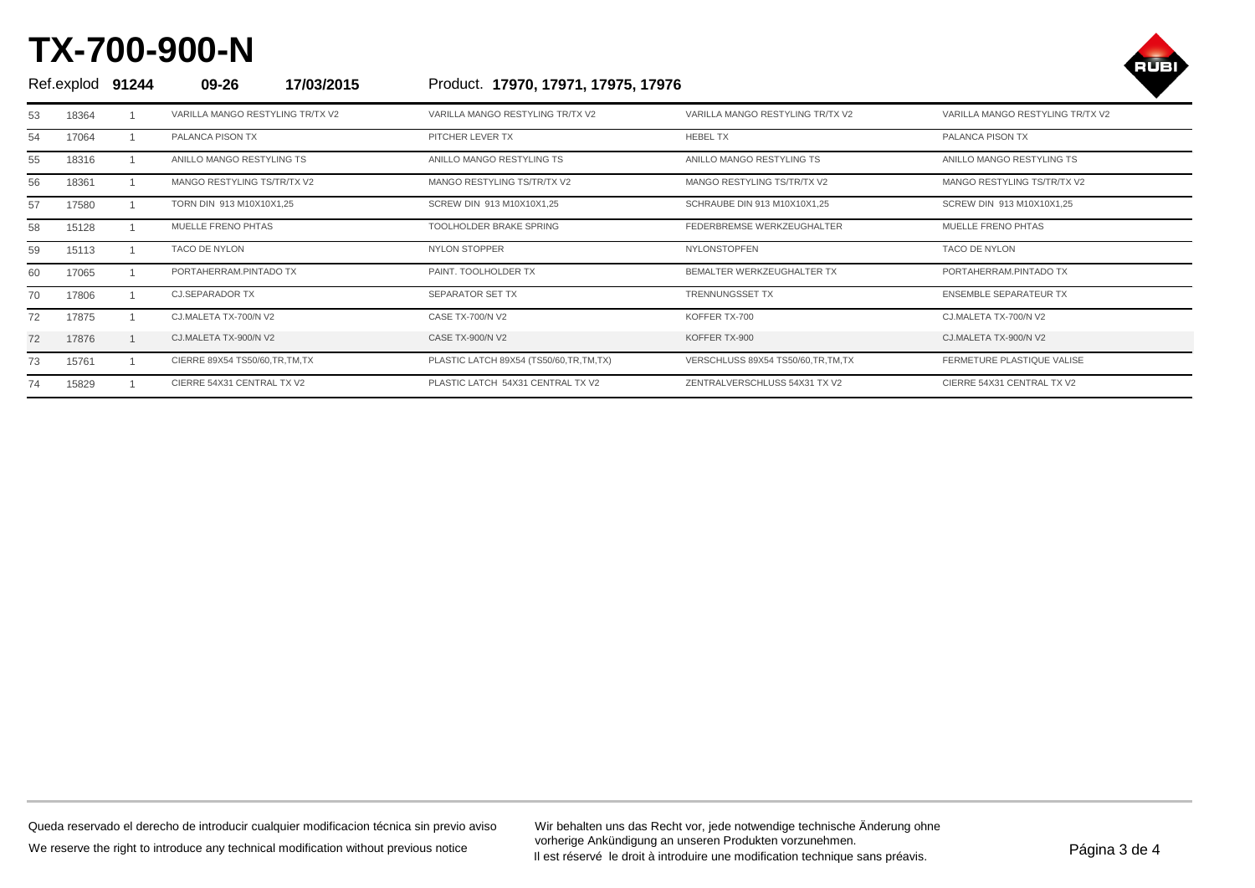

| Ref.explod 91244 |       | 09-26<br>17/03/2015              | Product. 17970, 17971, 17975, 17976    |                                      |                                   |
|------------------|-------|----------------------------------|----------------------------------------|--------------------------------------|-----------------------------------|
| 53               | 18364 | VARILLA MANGO RESTYLING TR/TX V2 | VARILLA MANGO RESTYLING TR/TX V2       | VARILLA MANGO RESTYLING TR/TX V2     | VARILLA MANGO RESTYLING TR/TX V2  |
| 54               | 17064 | PALANCA PISON TX                 | PITCHER LEVER TX                       | <b>HEBEL TX</b>                      | PALANCA PISON TX                  |
| 55               | 18316 | ANILLO MANGO RESTYLING TS        | ANILLO MANGO RESTYLING TS              | ANILLO MANGO RESTYLING TS            | ANILLO MANGO RESTYLING TS         |
| 56               | 18361 | MANGO RESTYLING TS/TR/TX V2      | MANGO RESTYLING TS/TR/TX V2            | MANGO RESTYLING TS/TR/TX V2          | MANGO RESTYLING TS/TR/TX V2       |
| 57               | 17580 | TORN DIN 913 M10X10X1,25         | SCREW DIN 913 M10X10X1.25              | SCHRAUBE DIN 913 M10X10X1.25         | SCREW DIN 913 M10X10X1,25         |
| 58               | 15128 | MUELLE FRENO PHTAS               | <b>TOOLHOLDER BRAKE SPRING</b>         | FEDERBREMSE WERKZEUGHALTER           | <b>MUELLE FRENO PHTAS</b>         |
| 59               | 15113 | <b>TACO DE NYLON</b>             | <b>NYLON STOPPER</b>                   | <b>NYLONSTOPFEN</b>                  | TACO DE NYLON                     |
| 60               | 17065 | PORTAHERRAM.PINTADO TX           | PAINT. TOOLHOLDER TX                   | BEMALTER WERKZEUGHALTER TX           | PORTAHERRAM.PINTADO TX            |
| 70               | 17806 | <b>CJ.SEPARADOR TX</b>           | <b>SEPARATOR SET TX</b>                | <b>TRENNUNGSSET TX</b>               | <b>ENSEMBLE SEPARATEUR TX</b>     |
| 72               | 17875 | CJ.MALETA TX-700/N V2            | CASE TX-700/N V2                       | KOFFER TX-700                        | CJ.MALETA TX-700/N V2             |
| 72               | 17876 | CJ.MALETA TX-900/N V2            | <b>CASE TX-900/N V2</b>                | KOFFER TX-900                        | CJ.MALETA TX-900/N V2             |
| 73               | 15761 | CIERRE 89X54 TS50/60, TR, TM, TX | PLASTIC LATCH 89X54 (TS50/60,TR,TM,TX) | VERSCHLUSS 89X54 TS50/60, TR, TM, TX | <b>FERMETURE PLASTIQUE VALISE</b> |
| 74               | 15829 | CIERRE 54X31 CENTRAL TX V2       | PLASTIC LATCH 54X31 CENTRAL TX V2      | ZENTRALVERSCHLUSS 54X31 TX V2        | CIERRE 54X31 CENTRAL TX V2        |